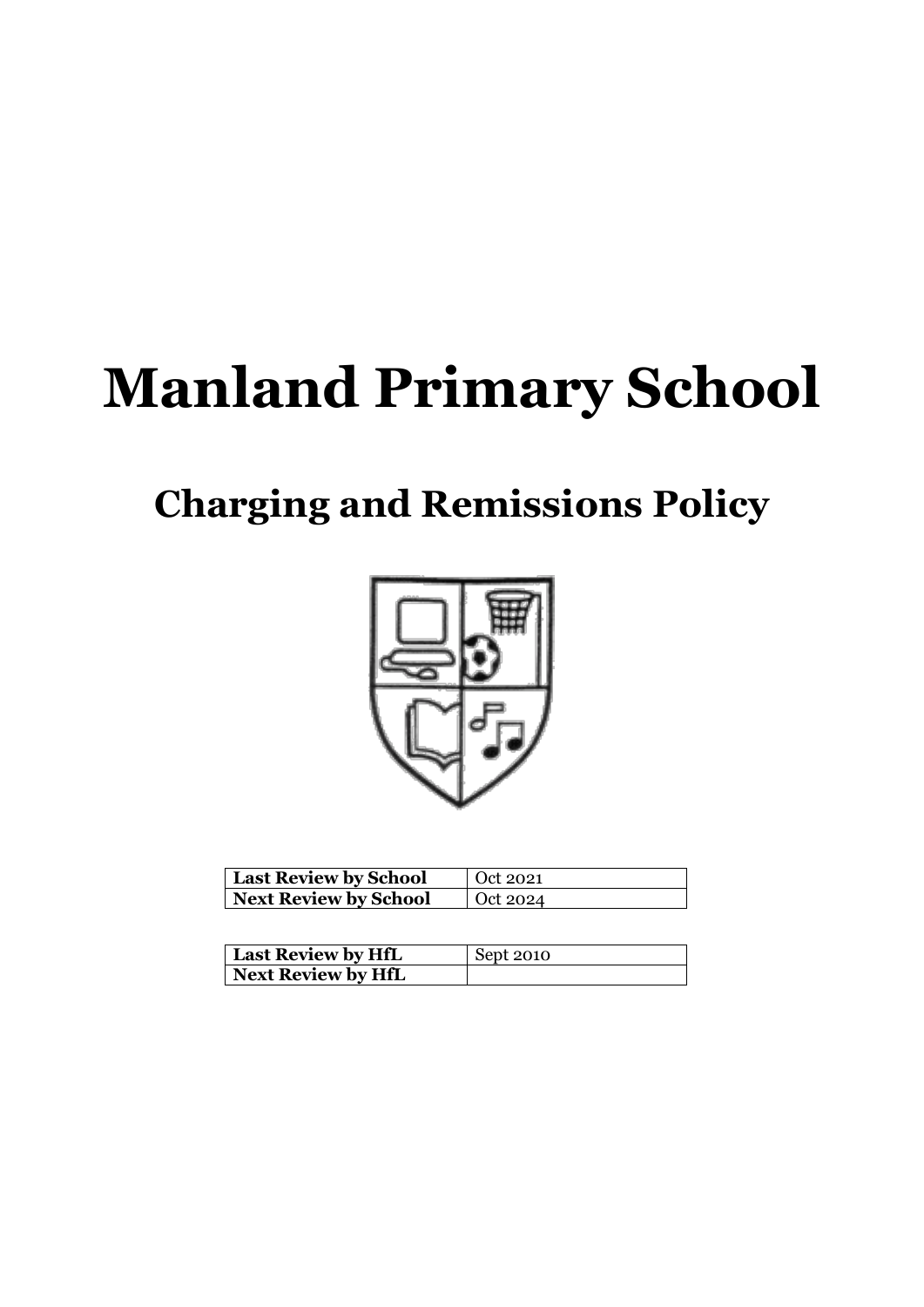# **Manland Primary School**

# **Charging and Remissions Policy**



| <b>Last Review by School</b> | Oct 2021 |
|------------------------------|----------|
| Next Review by School        | Oct 2024 |

| Last Review by HfL | Sept 2010 |
|--------------------|-----------|
| Next Review by HfL |           |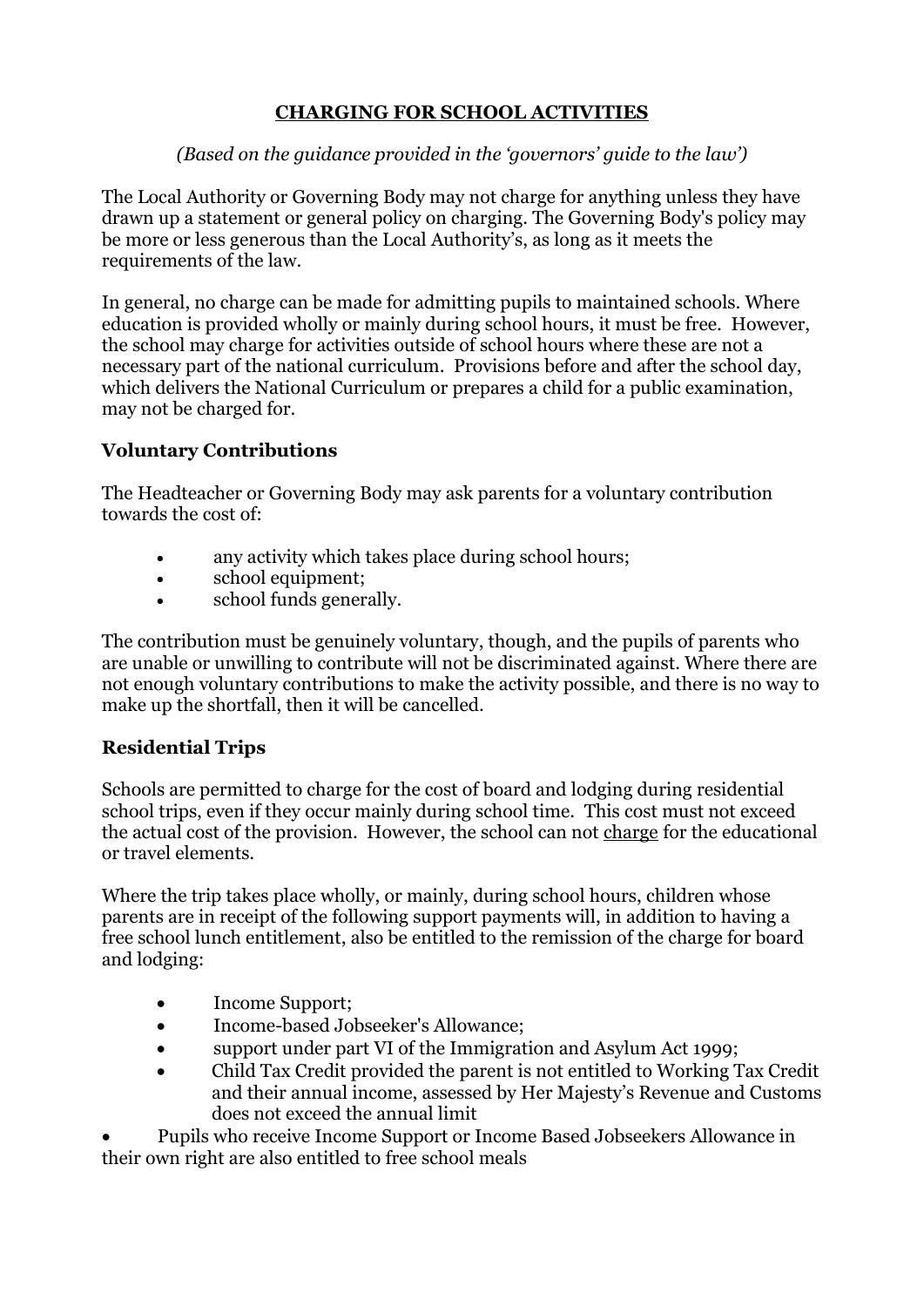# **CHARGING FOR SCHOOL ACTIVITIES**

#### *(Based on the guidance provided in the 'governors' guide to the law')*

The Local Authority or Governing Body may not charge for anything unless they have drawn up a statement or general policy on charging. The Governing Body's policy may be more or less generous than the Local Authority's, as long as it meets the requirements of the law.

In general, no charge can be made for admitting pupils to maintained schools. Where education is provided wholly or mainly during school hours, it must be free. However, the school may charge for activities outside of school hours where these are not a necessary part of the national curriculum. Provisions before and after the school day, which delivers the National Curriculum or prepares a child for a public examination, may not be charged for.

## **Voluntary Contributions**

The Headteacher or Governing Body may ask parents for a voluntary contribution towards the cost of:

- any activity which takes place during school hours;
- school equipment;
- school funds generally.

The contribution must be genuinely voluntary, though, and the pupils of parents who are unable or unwilling to contribute will not be discriminated against. Where there are not enough voluntary contributions to make the activity possible, and there is no way to make up the shortfall, then it will be cancelled.

#### **Residential Trips**

Schools are permitted to charge for the cost of board and lodging during residential school trips, even if they occur mainly during school time. This cost must not exceed the actual cost of the provision. However, the school can not charge for the educational or travel elements.

Where the trip takes place wholly, or mainly, during school hours, children whose parents are in receipt of the following support payments will, in addition to having a free school lunch entitlement, also be entitled to the remission of the charge for board and lodging:

- Income Support;
- Income-based Jobseeker's Allowance;
- support under part VI of the Immigration and Asylum Act 1999;
- Child Tax Credit provided the parent is not entitled to Working Tax Credit and their annual income, assessed by Her Majesty's Revenue and Customs does not exceed the annual limit

• Pupils who receive Income Support or Income Based Jobseekers Allowance in their own right are also entitled to free school meals